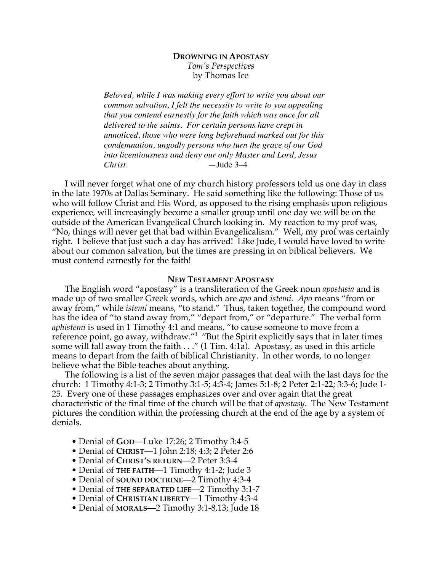# **DROWNING IN APOSTASY** *Tom's Perspectives* by Thomas Ice

*Beloved, while I was making every effort to write you about our common salvation, I felt the necessity to write to you appealing that you contend earnestly for the faith which was once for all delivered to the saints. For certain persons have crept in unnoticed, those who were long beforehand marked out for this condemnation, ungodly persons who turn the grace of our God into licentiousness and deny our only Master and Lord, Jesus Christ.* —Jude 3–4

I will never forget what one of my church history professors told us one day in class in the late 1970s at Dallas Seminary. He said something like the following: Those of us who will follow Christ and His Word, as opposed to the rising emphasis upon religious experience, will increasingly become a smaller group until one day we will be on the outside of the American Evangelical Church looking in. My reaction to my prof was, "No, things will never get that bad within Evangelicalism." Well, my prof was certainly right. I believe that just such a day has arrived! Like Jude, I would have loved to write about our common salvation, but the times are pressing in on biblical believers. We must contend earnestly for the faith!

## **NEW TESTAMENT APOSTASY**

The English word "apostasy" is a transliteration of the Greek noun *apostasia* and is made up of two smaller Greek words, which are *apo* and *istemi*. *Apo* means "from or away from," while *istemi* means, "to stand." Thus, taken together, the compound word has the idea of "to stand away from," "depart from," or "departure." The verbal form *aphistemi* is used in 1 Timothy 4:1 and means, "to cause someone to move from a reference point, go away, withdraw."<sup>1</sup> "But the Spirit explicitly says that in later times some will fall away from the faith . . ." (1 Tim. 4:1a). Apostasy, as used in this article means to depart from the faith of biblical Christianity. In other words, to no longer believe what the Bible teaches about anything.

The following is a list of the seven major passages that deal with the last days for the church: 1 Timothy 4:1-3; 2 Timothy 3:1-5; 4:3-4; James 5:1-8; 2 Peter 2:1-22; 3:3-6; Jude 1- 25. Every one of these passages emphasizes over and over again that the great characteristic of the final time of the church will be that of *apostasy*. The New Testament pictures the condition within the professing church at the end of the age by a system of denials.

- Denial of **GOD**—Luke 17:26; 2 Timothy 3:4-5
- Denial of **CHRIST**—1 John 2:18; 4:3; 2 Peter 2:6
- Denial of **CHRIST'S RETURN**—2 Peter 3:3-4
- Denial of **THE FAITH**—1 Timothy 4:1-2; Jude 3
- Denial of **SOUND DOCTRINE**—2 Timothy 4:3-4
- Denial of **THE SEPARATED LIFE**—2 Timothy 3:1-7
- Denial of **CHRISTIAN LIBERTY**—1 Timothy 4:3-4
- Denial of **MORALS**—2 Timothy 3:1-8,13; Jude 18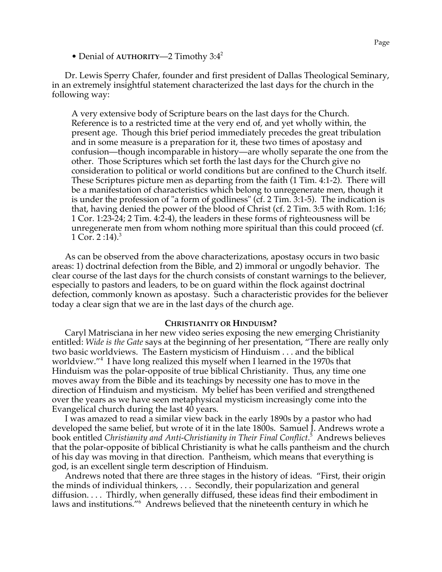• Denial of **AUTHORITY—2** Timothy 3:4<sup>2</sup>

Dr. Lewis Sperry Chafer, founder and first president of Dallas Theological Seminary, in an extremely insightful statement characterized the last days for the church in the following way:

A very extensive body of Scripture bears on the last days for the Church. Reference is to a restricted time at the very end of, and yet wholly within, the present age. Though this brief period immediately precedes the great tribulation and in some measure is a preparation for it, these two times of apostasy and confusion—though incomparable in history—are wholly separate the one from the other. Those Scriptures which set forth the last days for the Church give no consideration to political or world conditions but are confined to the Church itself. These Scriptures picture men as departing from the faith (1 Tim. 4:1-2). There will be a manifestation of characteristics which belong to unregenerate men, though it is under the profession of "a form of godliness" (cf. 2 Tim. 3:1-5). The indication is that, having denied the power of the blood of Christ (cf. 2 Tim. 3:5 with Rom. 1:16; 1 Cor. 1:23-24; 2 Tim. 4:2-4), the leaders in these forms of righteousness will be unregenerate men from whom nothing more spiritual than this could proceed (cf. 1 Cor. 2 :14 $^3$ .

As can be observed from the above characterizations, apostasy occurs in two basic areas: 1) doctrinal defection from the Bible, and 2) immoral or ungodly behavior. The clear course of the last days for the church consists of constant warnings to the believer, especially to pastors and leaders, to be on guard within the flock against doctrinal defection, commonly known as apostasy. Such a characteristic provides for the believer today a clear sign that we are in the last days of the church age.

### **CHRISTIANITY OR HINDUISM?**

Caryl Matrisciana in her new video series exposing the new emerging Christianity entitled: *Wide is the Gate* says at the beginning of her presentation, "There are really only two basic worldviews. The Eastern mysticism of Hinduism . . . and the biblical worldview."<sup>4</sup> I have long realized this myself when I learned in the 1970s that Hinduism was the polar-opposite of true biblical Christianity. Thus, any time one moves away from the Bible and its teachings by necessity one has to move in the direction of Hinduism and mysticism. My belief has been verified and strengthened over the years as we have seen metaphysical mysticism increasingly come into the Evangelical church during the last 40 years.

I was amazed to read a similar view back in the early 1890s by a pastor who had developed the same belief, but wrote of it in the late 1800s. Samuel J. Andrews wrote a book entitled *Christianity and Anti-Christianity in Their Final Conflict*. 5 Andrews believes that the polar-opposite of biblical Christianity is what he calls pantheism and the church of his day was moving in that direction. Pantheism, which means that everything is god, is an excellent single term description of Hinduism.

Andrews noted that there are three stages in the history of ideas. "First, their origin the minds of individual thinkers, . . . Secondly, their popularization and general diffusion. . . . Thirdly, when generally diffused, these ideas find their embodiment in laws and institutions."<sup>6</sup> Andrews believed that the nineteenth century in which he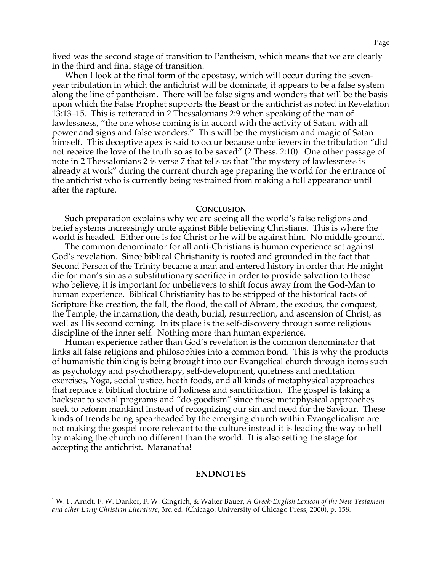lived was the second stage of transition to Pantheism, which means that we are clearly in the third and final stage of transition.

When I look at the final form of the apostasy, which will occur during the sevenyear tribulation in which the antichrist will be dominate, it appears to be a false system along the line of pantheism. There will be false signs and wonders that will be the basis upon which the False Prophet supports the Beast or the antichrist as noted in Revelation 13:13–15. This is reiterated in 2 Thessalonians 2:9 when speaking of the man of lawlessness, "the one whose coming is in accord with the activity of Satan, with all power and signs and false wonders." This will be the mysticism and magic of Satan himself. This deceptive apex is said to occur because unbelievers in the tribulation "did not receive the love of the truth so as to be saved" (2 Thess. 2:10). One other passage of note in 2 Thessalonians 2 is verse 7 that tells us that "the mystery of lawlessness is already at work" during the current church age preparing the world for the entrance of the antichrist who is currently being restrained from making a full appearance until after the rapture.

### **CONCLUSION**

Such preparation explains why we are seeing all the world's false religions and belief systems increasingly unite against Bible believing Christians. This is where the world is headed. Either one is for Christ or he will be against him. No middle ground.

The common denominator for all anti-Christians is human experience set against God's revelation. Since biblical Christianity is rooted and grounded in the fact that Second Person of the Trinity became a man and entered history in order that He might die for man's sin as a substitutionary sacrifice in order to provide salvation to those who believe, it is important for unbelievers to shift focus away from the God-Man to human experience. Biblical Christianity has to be stripped of the historical facts of Scripture like creation, the fall, the flood, the call of Abram, the exodus, the conquest, the Temple, the incarnation, the death, burial, resurrection, and ascension of Christ, as well as His second coming. In its place is the self-discovery through some religious discipline of the inner self. Nothing more than human experience.

Human experience rather than God's revelation is the common denominator that links all false religions and philosophies into a common bond. This is why the products of humanistic thinking is being brought into our Evangelical church through items such as psychology and psychotherapy, self-development, quietness and meditation exercises, Yoga, social justice, heath foods, and all kinds of metaphysical approaches that replace a biblical doctrine of holiness and sanctification. The gospel is taking a backseat to social programs and "do-goodism" since these metaphysical approaches seek to reform mankind instead of recognizing our sin and need for the Saviour. These kinds of trends being spearheaded by the emerging church within Evangelicalism are not making the gospel more relevant to the culture instead it is leading the way to hell by making the church no different than the world. It is also setting the stage for accepting the antichrist. Maranatha!

### **ENDNOTES**

 <sup>1</sup> W. F. Arndt, F. W. Danker, F. W. Gingrich, & Walter Bauer, *A Greek-English Lexicon of the New Testament and other Early Christian Literature*, 3rd ed. (Chicago: University of Chicago Press, 2000), p. 158.